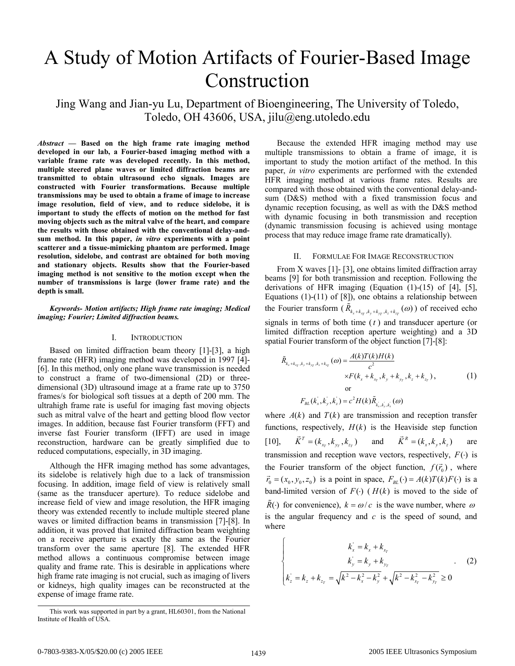# A Study of Motion Artifacts of Fourier-Based Image Construction

Jing Wang and Jian-yu Lu, Department of Bioengineering, The University of Toledo, Toledo, OH 43606, USA, jilu@eng.utoledo.edu

*Abstract* **— Based on the high frame rate imaging method developed in our lab, a Fourier-based imaging method with a variable frame rate was developed recently. In this method, multiple steered plane waves or limited diffraction beams are transmitted to obtain ultrasound echo signals. Images are constructed with Fourier transformations. Because multiple transmissions may be used to obtain a frame of image to increase image resolution, field of view, and to reduce sidelobe, it is important to study the effects of motion on the method for fast moving objects such as the mitral valve of the heart, and compare the results with those obtained with the conventional delay-andsum method. In this paper,** *in vitro* **experiments with a point scatterer and a tissue-mimicking phantom are performed. Image resolution, sidelobe, and contrast are obtained for both moving and stationary objects. Results show that the Fourier-based imaging method is not sensitive to the motion except when the number of transmissions is large (lower frame rate) and the depth is small.** 

# *Keywords- Motion artifacts; High frame rate imaging; Medical imaging; Fourier; Limited diffraction beams.*

## I. INTRODUCTION

Based on limited diffraction beam theory [1]-[3], a high frame rate (HFR) imaging method was developed in 1997 [4]- [6]. In this method, only one plane wave transmission is needed to construct a frame of two-dimensional (2D) or threedimensional (3D) ultrasound image at a frame rate up to 3750 frames/s for biological soft tissues at a depth of 200 mm. The ultrahigh frame rate is useful for imaging fast moving objects such as mitral valve of the heart and getting blood flow vector images. In addition, because fast Fourier transform (FFT) and inverse fast Fourier transform (IFFT) are used in image reconstruction, hardware can be greatly simplified due to reduced computations, especially, in 3D imaging.

Although the HFR imaging method has some advantages, its sidelobe is relatively high due to a lack of transmission focusing. In addition, image field of view is relatively small (same as the transducer aperture). To reduce sidelobe and increase field of view and image resolution, the HFR imaging theory was extended recently to include multiple steered plane waves or limited diffraction beams in transmission [7]-[8]. In addition, it was proved that limited diffraction beam weighting on a receive aperture is exactly the same as the Fourier transform over the same aperture [8]. The extended HFR method allows a continuous compromise between image quality and frame rate. This is desirable in applications where high frame rate imaging is not crucial, such as imaging of livers or kidneys, high quality images can be reconstructed at the expense of image frame rate.

Because the extended HFR imaging method may use multiple transmissions to obtain a frame of image, it is important to study the motion artifact of the method. In this paper, *in vitro* experiments are performed with the extended HFR imaging method at various frame rates. Results are compared with those obtained with the conventional delay-andsum (D&S) method with a fixed transmission focus and dynamic reception focusing, as well as with the D&S method with dynamic focusing in both transmission and reception (dynamic transmission focusing is achieved using montage process that may reduce image frame rate dramatically).

## II. FORMULAE FOR IMAGE RECONSTRUCTION

From X waves [1]- [3], one obtains limited diffraction array beams [9] for both transmission and reception. Following the derivations of HFR imaging (Equation (1)-(15) of [4], [5], Equations (1)-(11) of [8]), one obtains a relationship between the Fourier transform  $(\tilde{R}_{k_x+k_{xy},k_y+k_{yy},k_z+k_{zy}}(\omega))$  of received echo signals in terms of both time (*t* ) and transducer aperture (or limited diffraction reception aperture weighting) and a 3D spatial Fourier transform of the object function [7]-[8]:

$$
\tilde{R}_{k_x+k_{x_y},k_y+k_{y_y},k_z+k_{z_y}}(\omega) = \frac{A(k)T(k)H(k)}{c^2}
$$
\n
$$
\times F(k_x+k_{x_y},k_y+k_{y_y},k_z+k_{z_y}),
$$
\nor\n
$$
F_{BL}(k'_x,k'_y,k'_z) = c^2 H(k)\tilde{R}_{k'_x,k'_y,k'_z}(\omega)
$$
\n(1)

where  $A(k)$  and  $T(k)$  are transmission and reception transfer functions, respectively,  $H(k)$  is the Heaviside step function  $[10]$ ,  $\vec{K}^T = (k_{x_r}, k_{y_r}, k_{z_r})$  and  $\vec{K}^R = (k_x, k_y, k_z)$  are transmission and reception wave vectors, respectively,  $F(·)$  is the Fourier transform of the object function,  $f(\vec{r}_0)$ , where  $\vec{r}_0$  = ( $x_0$ ,  $y_0$ ,  $z_0$ ) is a point in space,  $F_{BL}(\cdot) = A(k)T(k)F(\cdot)$  is a band-limited version of  $F(\cdot)$  ( $H(k)$ ) is moved to the side of  $\tilde{R}(\cdot)$  for convenience),  $k = \omega/c$  is the wave number, where  $\omega$ is the angular frequency and *c* is the speed of sound, and where

$$
\begin{cases}\n k_x' = k_x + k_{x_r} \\
 k_y' = k_y + k_{y_r} \\
 k_z' = k_z + k_{z_r} = \sqrt{k^2 - k_x^2 - k_y^2} + \sqrt{k^2 - k_{x_r}^2 - k_{y_r}^2} \ge 0\n\end{cases}
$$
\n(2)

This work was supported in part by a grant, HL60301, from the National Institute of Health of USA.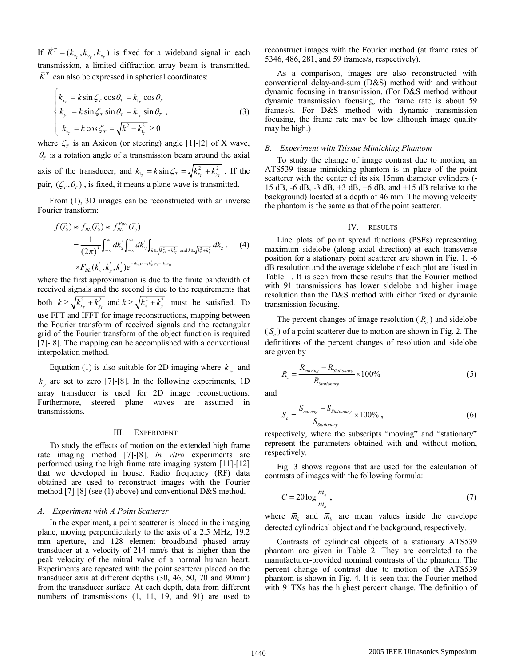If  $\vec{K}^T = (k_{x_r}, k_{y_r}, k_{z_r})$  is fixed for a wideband signal in each transmission, a limited diffraction array beam is transmitted.  $\vec{K}^T$  can also be expressed in spherical coordinates:

$$
\begin{cases}\nk_{x_r} = k \sin \zeta_r \cos \theta_r = k_{1_r} \cos \theta_r \\
k_{y_r} = k \sin \zeta_r \sin \theta_r = k_{1_r} \sin \theta_r , \\
k_{z_r} = k \cos \zeta_r = \sqrt{k^2 - k_{1_r}^2} \ge 0\n\end{cases}
$$
\n(3)

where  $\zeta_r$  is an Axicon (or steering) angle [1]-[2] of X wave,  $\theta$ <sup>*T*</sup> is a rotation angle of a transmission beam around the axial axis of the transducer, and  $k_{1r} = k \sin \zeta_r = \sqrt{k_{xr}^2 + k_{yr}^2}$ . If the pair,  $(\zeta_r, \theta_r)$ , is fixed, it means a plane wave is transmitted.

From (1), 3D images can be reconstructed with an inverse Fourier transform:

$$
f(\vec{r}_0) \approx f_{BL}(\vec{r}_0) \approx f_{BL}^{Part}(\vec{r}_0)
$$
  
= 
$$
\frac{1}{(2\pi)^3} \int_{-\infty}^{\infty} dk_x' \int_{-\infty}^{\infty} dk_y' \int_{k \ge \sqrt{k_x^2 + k_y^2}} d\vec{k}_x \frac{dk_z}{k_x^2 + k_y^2}
$$
 (4)  

$$
\times F_{BL}(k_x, k_y', k_z') e^{-ik_x x_0 - ik_y y_0 - ik_z z_0}
$$

where the first approximation is due to the finite bandwidth of received signals and the second is due to the requirements that both  $k \ge \sqrt{k_{x_r}^2 + k_{y_r}^2}$  and  $k \ge \sqrt{k_x^2 + k_y^2}$  must be satisfied. To use FFT and IFFT for image reconstructions, mapping between the Fourier transform of received signals and the rectangular grid of the Fourier transform of the object function is required [7]-[8]. The mapping can be accomplished with a conventional interpolation method.

Equation (1) is also suitable for 2D imaging where  $k_{y_r}$  and  $k<sub>y</sub>$  are set to zero [7]-[8]. In the following experiments, 1D array transducer is used for 2D image reconstructions. Furthermore, steered plane waves are assumed in transmissions.

#### III. EXPERIMENT

To study the effects of motion on the extended high frame rate imaging method [7]-[8], *in vitro* experiments are performed using the high frame rate imaging system [11]-[12] that we developed in house. Radio frequency (RF) data obtained are used to reconstruct images with the Fourier method [7]-[8] (see (1) above) and conventional D&S method.

#### *A. Experiment with A Point Scatterer*

In the experiment, a point scatterer is placed in the imaging plane, moving perpendicularly to the axis of a 2.5 MHz, 19.2 mm aperture, and 128 element broadband phased array transducer at a velocity of 214 mm/s that is higher than the peak velocity of the mitral valve of a normal human heart. Experiments are repeated with the point scatterer placed on the transducer axis at different depths (30, 46, 50, 70 and 90mm) from the transducer surface. At each depth, data from different numbers of transmissions (1, 11, 19, and 91) are used to reconstruct images with the Fourier method (at frame rates of 5346, 486, 281, and 59 frames/s, respectively).

As a comparison, images are also reconstructed with conventional delay-and-sum (D&S) method with and without dynamic focusing in transmission. (For D&S method without dynamic transmission focusing, the frame rate is about 59 frames/s. For D&S method with dynamic transmission focusing, the frame rate may be low although image quality may be high.)

### *B. Experiment with Ttissue Mimicking Phantom*

To study the change of image contrast due to motion, an ATS539 tissue mimicking phantom is in place of the point scatterer with the center of its six 15mm diameter cylinders (- 15 dB, -6 dB, -3 dB, +3 dB, +6 dB, and +15 dB relative to the background) located at a depth of 46 mm. The moving velocity the phantom is the same as that of the point scatterer.

## IV. RESULTS

Line plots of point spread functions (PSFs) representing maximum sidelobe (along axial direction) at each transverse position for a stationary point scatterer are shown in Fig. 1. -6 dB resolution and the average sidelobe of each plot are listed in Table 1. It is seen from these results that the Fourier method with 91 transmissions has lower sidelobe and higher image resolution than the D&S method with either fixed or dynamic transmission focusing.

The percent changes of image resolution  $(R_c)$  and sidelobe ( *<sup>c</sup> S* ) of a point scatterer due to motion are shown in Fig. 2. The definitions of the percent changes of resolution and sidelobe are given by

$$
R_c = \frac{R_{moving} - R_{Stationary}}{R_{Stationary}} \times 100\%
$$
 (5)

and

$$
S_c = \frac{S_{moving} - S_{Stationary}}{S_{Stationary}} \times 100\% \tag{6}
$$

respectively, where the subscripts "moving" and "stationary" represent the parameters obtained with and without motion, respectively.

Fig. 3 shows regions that are used for the calculation of contrasts of images with the following formula:

$$
C = 20\log\frac{\overline{m}_h}{\overline{m}_b},\tag{7}
$$

where  $\overline{m}_h$  and  $\overline{m}_b$  are mean values inside the envelope detected cylindrical object and the background, respectively.

Contrasts of cylindrical objects of a stationary ATS539 phantom are given in Table 2. They are correlated to the manufacturer-provided nominal contrasts of the phantom. The percent change of contrast due to motion of the ATS539 phantom is shown in Fig. 4. It is seen that the Fourier method with 91TXs has the highest percent change. The definition of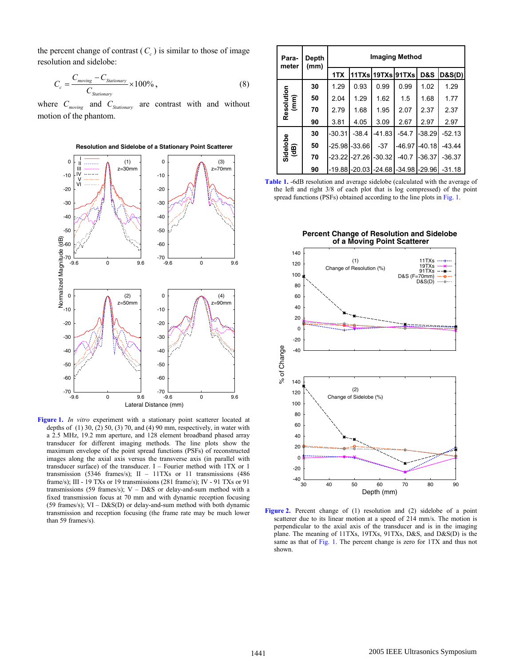the percent change of contrast  $(C_c)$  is similar to those of image resolution and sidelobe:

$$
C_c = \frac{C_{moving} - C_{Stationary}}{C_{Stationary}} \times 100\%,\tag{8}
$$

where  $C_{moving}$  and  $C_{Stationary}$  are contrast with and without motion of the phantom.



**Figure 1.** *In vitro* experiment with a stationary point scatterer located at depths of  $(1)$  30,  $(2)$  50,  $(3)$  70, and  $(4)$  90 mm, respectively, in water with a 2.5 MHz, 19.2 mm aperture, and 128 element broadband phased array transducer for different imaging methods. The line plots show the maximum envelope of the point spread functions (PSFs) of reconstructed images along the axial axis versus the transverse axis (in parallel with transducer surface) of the transducer. I – Fourier method with 1TX or 1 transmission (5346 frames/s);  $II - 11TXs$  or 11 transmissions (486 frame/s); III - 19 TXs or 19 transmissions (281 frame/s); IV - 91 TXs or 91 transmissions (59 frames/s);  $V - D&S$  or delay-and-sum method with a fixed transmission focus at 70 mm and with dynamic reception focusing (59 frames/s);  $VI - D&S(D)$  or delay-and-sum method with both dynamic transmission and reception focusing (the frame rate may be much lower than 59 frames/s).

|  | Para-<br>meter     | Depth<br>(mm) | Imaging Method |                  |                                        |         |                  |          |  |
|--|--------------------|---------------|----------------|------------------|----------------------------------------|---------|------------------|----------|--|
|  |                    |               | 1TX            |                  | 11TXsl19TXsl91TXsl                     |         | D&S              | D&S(D)   |  |
|  | Resolution<br>(mm) | 30            | 1.29           | 0.93             | 0.99                                   | 0.99    | 1.02             | 1.29     |  |
|  |                    | 50            | 2.04           | 1.29             | 1.62                                   | 1.5     | 1.68             | 1.77     |  |
|  |                    | 70            | 2.79           | 1.68             | 1.95                                   | 2.07    | 2.37             | 2.37     |  |
|  |                    | 90            | 3.81           | 4.05             | 3.09                                   | 2.67    | 2.97             | 2.97     |  |
|  | Sidelobe<br>(dB)   | 30            | $-30.31$       | $-38.4$          | $-41.83$                               | $-54.7$ | $-38.29$         | $-52.13$ |  |
|  |                    | 50            | $-25.98$       | $-33.66$         | $-37$                                  |         | $-46.97 - 40.18$ | $-43.44$ |  |
|  |                    | 70            |                | $-23.22 - 27.26$ | $-30.32$                               | $-40.7$ | $-36.37$         | $-36.37$ |  |
|  |                    | 90            |                |                  | -19.88 - 20.03 - 24.68 - 34.98 - 29.96 |         |                  | -31.18   |  |

**Table 1.** -6dB resolution and average sidelobe (calculated with the average of the left and right 3/8 of each plot that is log compressed) of the point spread functions (PSFs) obtained according to the line plots in Fig. 1.



Figure 2. Percent change of (1) resolution and (2) sidelobe of a point scatterer due to its linear motion at a speed of 214 mm/s. The motion is perpendicular to the axial axis of the transducer and is in the imaging plane. The meaning of 11TXs, 19TXs, 91TXs, D&S, and D&S(D) is the same as that of Fig. 1. The percent change is zero for 1TX and thus not shown.